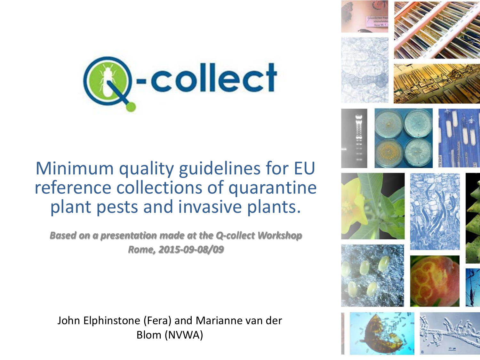

#### Minimum quality guidelines for EU reference collections of quarantine plant pests and invasive plants.

*Based on a presentation made at the Q-collect Workshop Rome, 2015-09-08/09*

John Elphinstone (Fera) and Marianne van der Blom (NVWA)

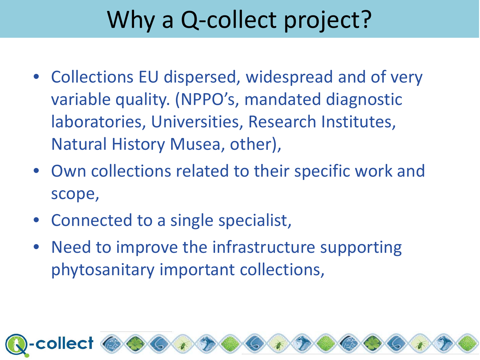### Why a Q-collect project?

- Collections EU dispersed, widespread and of very variable quality. (NPPO's, mandated diagnostic laboratories, Universities, Research Institutes, Natural History Musea, other),
- Own collections related to their specific work and scope,
- Connected to a single specialist,
- Need to improve the infrastructure supporting phytosanitary important collections,

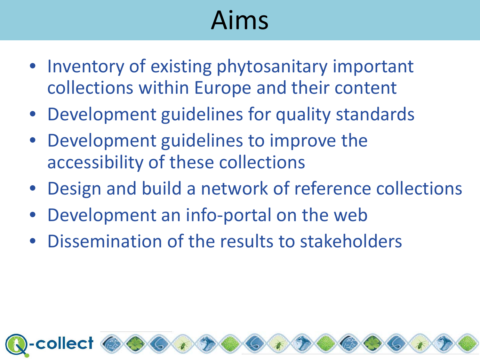# Aims

- Inventory of existing phytosanitary important collections within Europe and their content
- Development guidelines for quality standards
- Development guidelines to improve the accessibility of these collections
- Design and build a network of reference collections
- Development an info-portal on the web
- Dissemination of the results to stakeholders

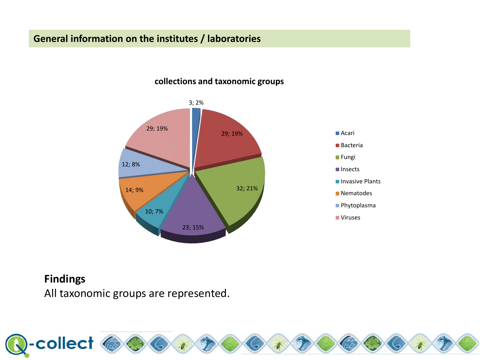#### **General information on the institutes / laboratories**



#### **collections and taxonomic groups**



#### **Findings**

All taxonomic groups are represented.

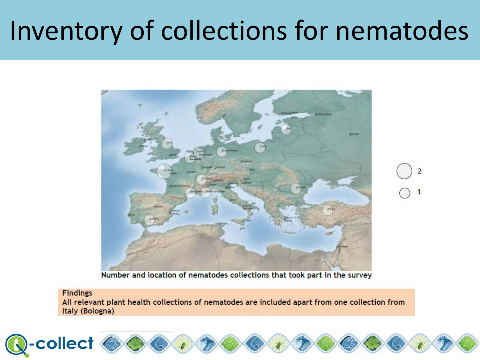### Inventory of collections for nematodes



2 1

Number and location of nematodes collections that took part in the survey

#### **Findings**

All relevant plant health collections of nematodes are included apart from one collection from Italy (Bologna)

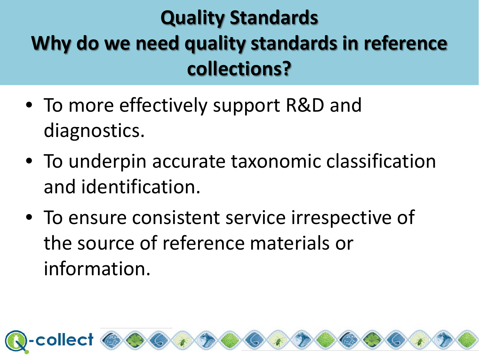### **Quality Standards Why do we need quality standards in reference collections?**

- To more effectively support R&D and diagnostics.
- To underpin accurate taxonomic classification and identification.
- To ensure consistent service irrespective of the source of reference materials or information.

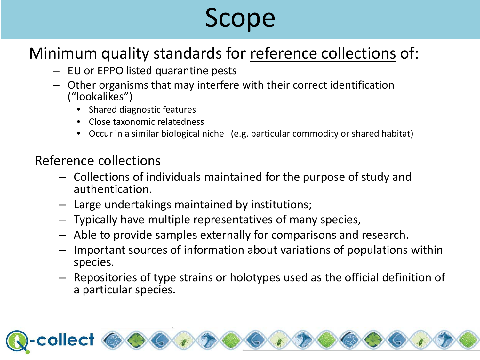## Scope

#### Minimum quality standards for reference collections of:

- EU or EPPO listed quarantine pests
- Other organisms that may interfere with their correct identification ("lookalikes")
	- Shared diagnostic features
	- Close taxonomic relatedness
	- Occur in a similar biological niche (e.g. particular commodity or shared habitat)

#### Reference collections

- Collections of individuals maintained for the purpose of study and authentication.
- Large undertakings maintained by institutions;
- Typically have multiple representatives of many species,
- Able to provide samples externally for comparisons and research.
- Important sources of information about variations of populations within species.
- Repositories of type strains or holotypes used as the official definition of a particular species.

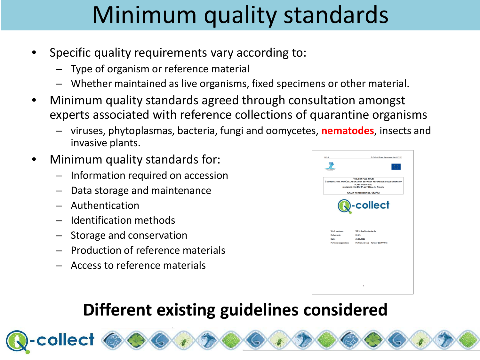- Specific quality requirements vary according to:
	- Type of organism or reference material
	- Whether maintained as live organisms, fixed specimens or other material.
- Minimum quality standards agreed through consultation amongst experts associated with reference collections of quarantine organisms
	- viruses, phytoplasmas, bacteria, fungi and oomycetes, **nematodes**, insects and invasive plants.
- Minimum quality standards for:
	- Information required on accession
	- Data storage and maintenance
	- Authentication
	- Identification methods
	- Storage and conservation
	- Production of reference materials
	- Access to reference materials



### **Different existing guidelines considered**

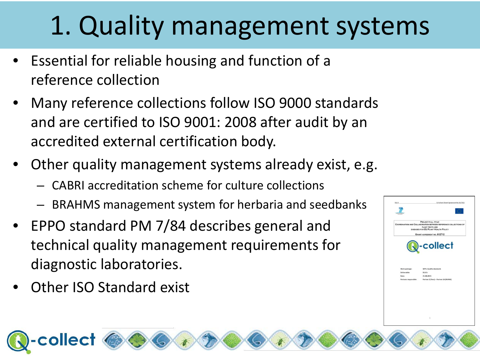## 1. Quality management systems

- Essential for reliable housing and function of a reference collection
- Many reference collections follow ISO 9000 standards and are certified to ISO 9001: 2008 after audit by an accredited external certification body.
- Other quality management systems already exist, e.g.
	- CABRI accreditation scheme for culture collections
	- BRAHMS management system for herbaria and seedbanks
- EPPO standard PM 7/84 describes general and technical quality management requirements for diagnostic laboratories.
- **Other ISO Standard exist**

collect

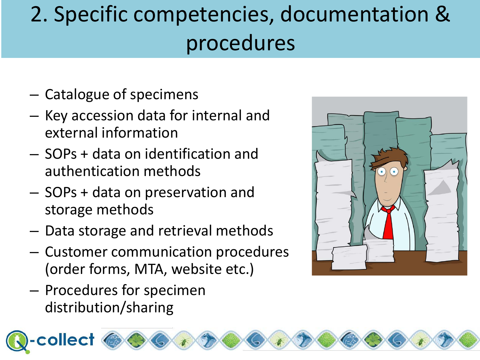### 2. Specific competencies, documentation & procedures

- Catalogue of specimens
- Key accession data for internal and external information
- SOPs + data on identification and authentication methods
- SOPs + data on preservation and storage methods
- Data storage and retrieval methods
- Customer communication procedures (order forms, MTA, website etc.)
- Procedures for specimen distribution/sharing

collect

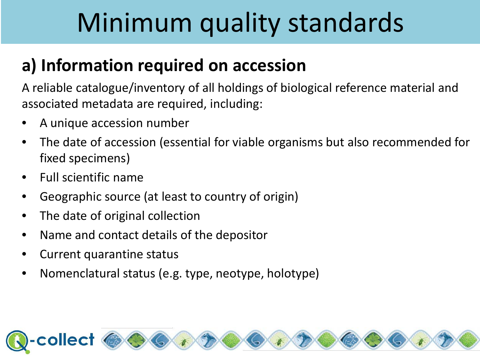### **a) Information required on accession**

A reliable catalogue/inventory of all holdings of biological reference material and associated metadata are required, including:

- A unique accession number
- The date of accession (essential for viable organisms but also recommended for fixed specimens)
- Full scientific name
- Geographic source (at least to country of origin)
- The date of original collection
- Name and contact details of the depositor
- Current quarantine status
- Nomenclatural status (e.g. type, neotype, holotype)

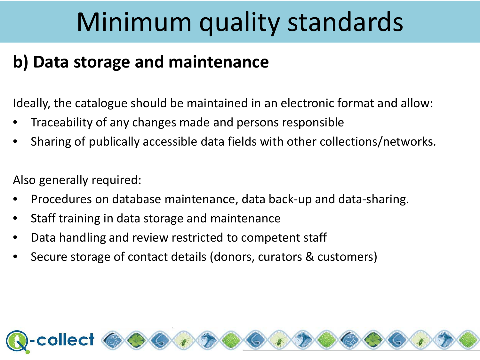### **b) Data storage and maintenance**

Ideally, the catalogue should be maintained in an electronic format and allow:

- Traceability of any changes made and persons responsible
- Sharing of publically accessible data fields with other collections/networks.

Also generally required:

- Procedures on database maintenance, data back-up and data-sharing.
- Staff training in data storage and maintenance
- Data handling and review restricted to competent staff
- Secure storage of contact details (donors, curators & customers)

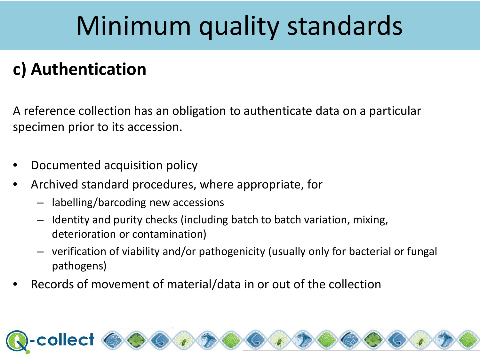### **c) Authentication**

A reference collection has an obligation to authenticate data on a particular specimen prior to its accession.

- Documented acquisition policy
- Archived standard procedures, where appropriate, for
	- labelling/barcoding new accessions
	- Identity and purity checks (including batch to batch variation, mixing, deterioration or contamination)
	- verification of viability and/or pathogenicity (usually only for bacterial or fungal pathogens)
- Records of movement of material/data in or out of the collection

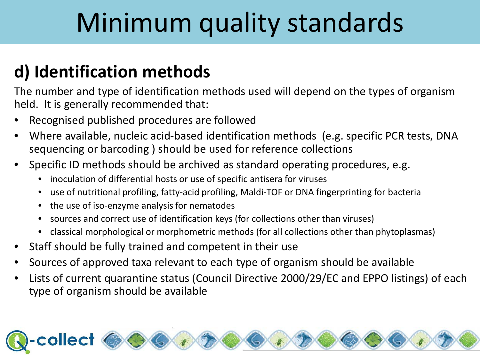### **d) Identification methods**

The number and type of identification methods used will depend on the types of organism held. It is generally recommended that:

- Recognised published procedures are followed
- Where available, nucleic acid-based identification methods (e.g. specific PCR tests, DNA sequencing or barcoding ) should be used for reference collections
- Specific ID methods should be archived as standard operating procedures, e.g.
	- inoculation of differential hosts or use of specific antisera for viruses
	- use of nutritional profiling, fatty-acid profiling, Maldi-TOF or DNA fingerprinting for bacteria
	- the use of iso-enzyme analysis for nematodes
	- sources and correct use of identification keys (for collections other than viruses)
	- classical morphological or morphometric methods (for all collections other than phytoplasmas)
- Staff should be fully trained and competent in their use
- Sources of approved taxa relevant to each type of organism should be available
- Lists of current quarantine status (Council Directive 2000/29/EC and EPPO listings) of each type of organism should be available

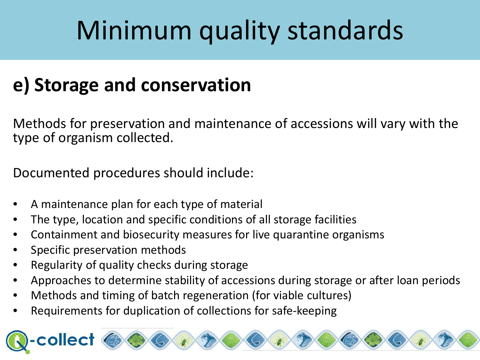### **e) Storage and conservation**

Methods for preservation and maintenance of accessions will vary with the type of organism collected.

Documented procedures should include:

- A maintenance plan for each type of material
- The type, location and specific conditions of all storage facilities
- Containment and biosecurity measures for live quarantine organisms
- Specific preservation methods
- Regularity of quality checks during storage
- Approaches to determine stability of accessions during storage or after loan periods
- Methods and timing of batch regeneration (for viable cultures)
- Requirements for duplication of collections for safe-keeping

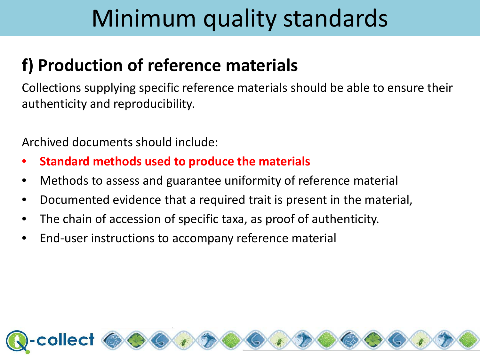#### **f) Production of reference materials**

Collections supplying specific reference materials should be able to ensure their authenticity and reproducibility.

Archived documents should include:

- **Standard methods used to produce the materials**
- Methods to assess and guarantee uniformity of reference material
- Documented evidence that a required trait is present in the material,
- The chain of accession of specific taxa, as proof of authenticity.
- End-user instructions to accompany reference material

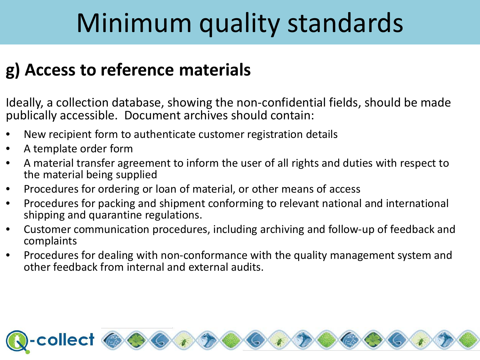#### **g) Access to reference materials**

Ideally, a collection database, showing the non-confidential fields, should be made publically accessible. Document archives should contain:

- New recipient form to authenticate customer registration details
- A template order form
- A material transfer agreement to inform the user of all rights and duties with respect to the material being supplied
- Procedures for ordering or loan of material, or other means of access
- Procedures for packing and shipment conforming to relevant national and international shipping and quarantine regulations.
- Customer communication procedures, including archiving and follow-up of feedback and complaints
- Procedures for dealing with non-conformance with the quality management system and other feedback from internal and external audits.

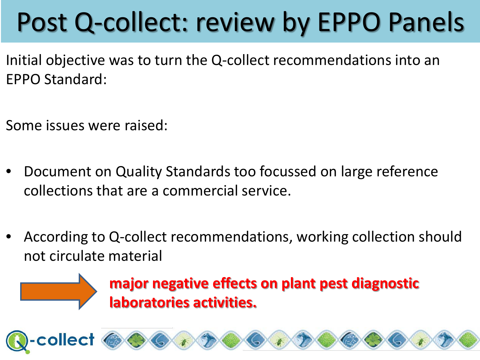# Post Q-collect: review by EPPO Panels

Initial objective was to turn the Q-collect recommendations into an EPPO Standard:

Some issues were raised:

collect

- Document on Quality Standards too focussed on large reference collections that are a commercial service.
- According to Q-collect recommendations, working collection should not circulate material

#### **major negative effects on plant pest diagnostic laboratories activities.**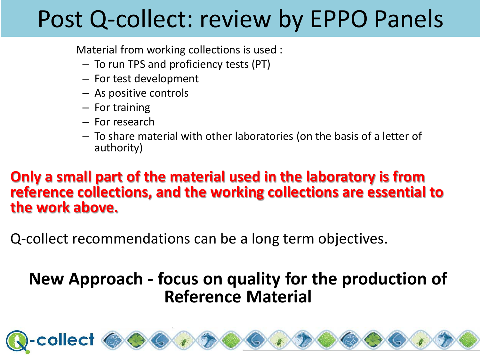### Post Q-collect: review by EPPO Panels

Material from working collections is used :

- To run TPS and proficiency tests (PT)
- For test development
- As positive controls
- For training
- For research
- To share material with other laboratories (on the basis of a letter of authority)

#### **Only a small part of the material used in the laboratory is from reference collections, and the working collections are essential to the work above.**

Q-collect recommendations can be a long term objectives.

#### **New Approach - focus on quality for the production of Reference Material**